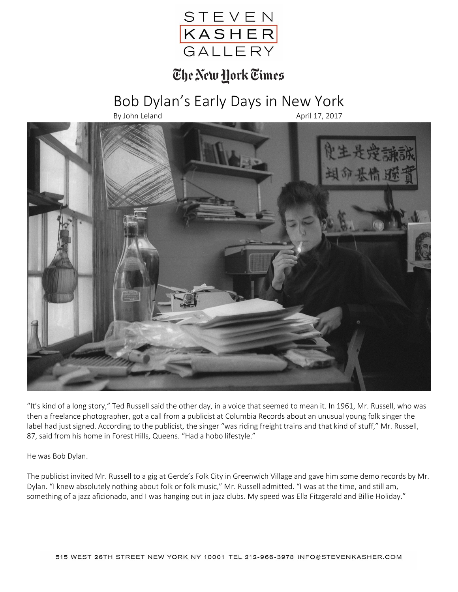

## The New York Times

## Bob Dylan's Early Days in New York

By John Leland April 17, 2017



"It's kind of a long story," Ted Russell said the other day, in a voice that seemed to mean it. In 1961, Mr. Russell, who was then a freelance photographer, got a call from a publicist at Columbia Records about an unusual young folk singer the label had just signed. According to the publicist, the singer "was riding freight trains and that kind of stuff," Mr. Russell, 87, said from his home in Forest Hills, Queens. "Had a hobo lifestyle."

He was Bob Dylan.

The publicist invited Mr. Russell to a gig at Gerde's Folk City in Greenwich Village and gave him some demo records by Mr. Dylan. "I knew absolutely nothing about folk or folk music," Mr. Russell admitted. "I was at the time, and still am, something of a jazz aficionado, and I was hanging out in jazz clubs. My speed was Ella Fitzgerald and Billie Holiday."